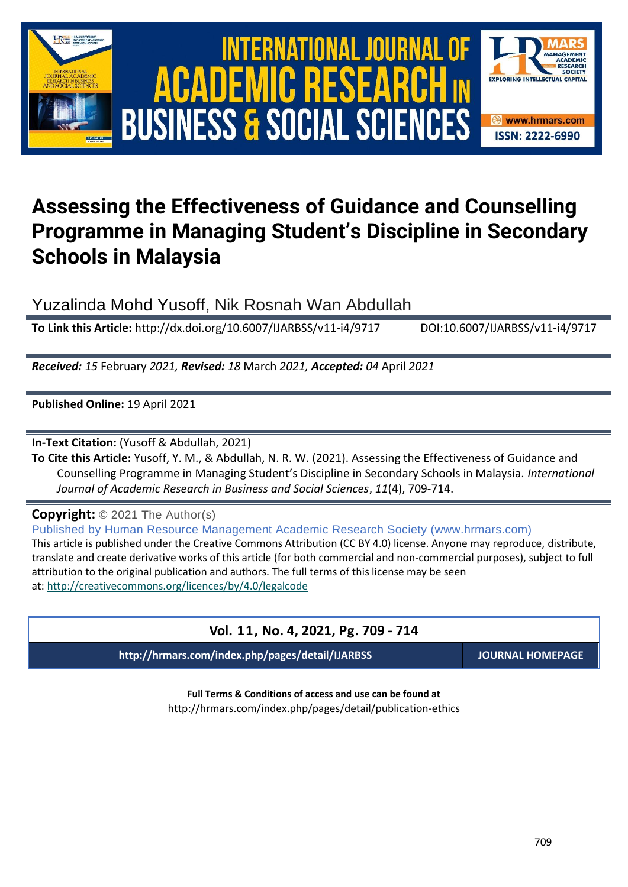

# International Journal of Academic Research in Business and Social Sciences **Vol. 1 1 , No. 4, 2021, E-ISSN: 2222-6990 © 2021 HRMARS ACADEMIC BUSINESS & SOCIAL SCIENCES**



## **Assessing the Effectiveness of Guidance and Counselling Programme in Managing Student's Discipline in Secondary Schools in Malaysia**

Yuzalinda Mohd Yusoff, Nik Rosnah Wan Abdullah

**To Link this Article:** http://dx.doi.org/10.6007/IJARBSS/v11-i4/9717 DOI:10.6007/IJARBSS/v11-i4/9717

*Received: 15* February *2021, Revised: 18* March *2021, Accepted: 04* April *2021*

**Published Online:** 19 April 2021

**In-Text Citation:** (Yusoff & Abdullah, 2021)

**To Cite this Article:** Yusoff, Y. M., & Abdullah, N. R. W. (2021). Assessing the Effectiveness of Guidance and Counselling Programme in Managing Student's Discipline in Secondary Schools in Malaysia. *International Journal of Academic Research in Business and Social Sciences*, *11*(4), 709-714.

**Copyright:** © 2021 The Author(s)

Published by Human Resource Management Academic Research Society (www.hrmars.com) This article is published under the Creative Commons Attribution (CC BY 4.0) license. Anyone may reproduce, distribute, translate and create derivative works of this article (for both commercial and non-commercial purposes), subject to full attribution to the original publication and authors. The full terms of this license may be seen at: <http://creativecommons.org/licences/by/4.0/legalcode>

### **Vol. 11, No. 4, 2021, Pg. 709 - 714**

**http://hrmars.com/index.php/pages/detail/IJARBSS JOURNAL HOMEPAGE**

**Full Terms & Conditions of access and use can be found at** http://hrmars.com/index.php/pages/detail/publication-ethics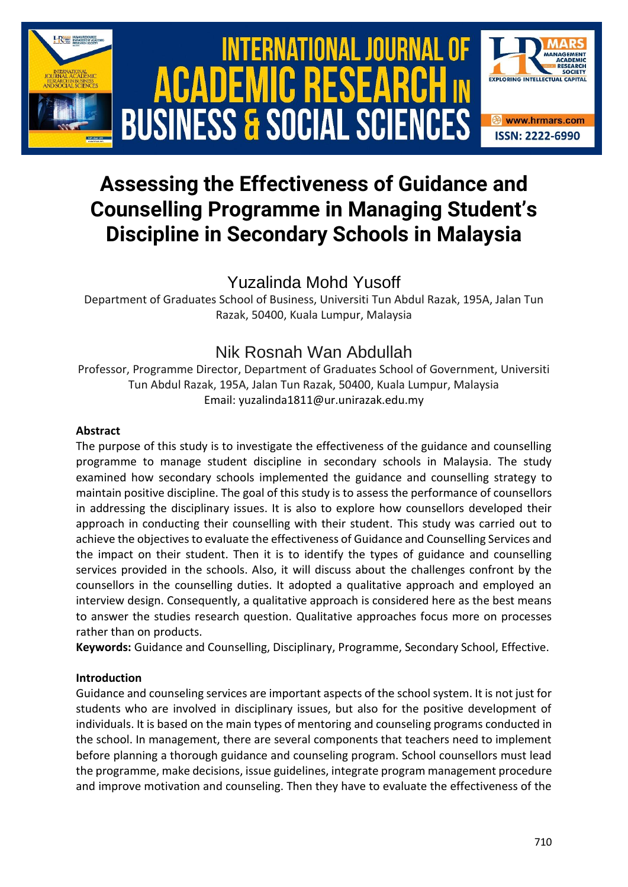

## **Assessing the Effectiveness of Guidance and Counselling Programme in Managing Student's Discipline in Secondary Schools in Malaysia**

## Yuzalinda Mohd Yusoff

Department of Graduates School of Business, Universiti Tun Abdul Razak, 195A, Jalan Tun Razak, 50400, Kuala Lumpur, Malaysia

## Nik Rosnah Wan Abdullah

Professor, Programme Director, Department of Graduates School of Government, Universiti Tun Abdul Razak, 195A, Jalan Tun Razak, 50400, Kuala Lumpur, Malaysia Email: yuzalinda1811@ur.unirazak.edu.my

#### **Abstract**

The purpose of this study is to investigate the effectiveness of the guidance and counselling programme to manage student discipline in secondary schools in Malaysia. The study examined how secondary schools implemented the guidance and counselling strategy to maintain positive discipline. The goal of this study is to assess the performance of counsellors in addressing the disciplinary issues. It is also to explore how counsellors developed their approach in conducting their counselling with their student. This study was carried out to achieve the objectives to evaluate the effectiveness of Guidance and Counselling Services and the impact on their student. Then it is to identify the types of guidance and counselling services provided in the schools. Also, it will discuss about the challenges confront by the counsellors in the counselling duties. It adopted a qualitative approach and employed an interview design. Consequently, a qualitative approach is considered here as the best means to answer the studies research question. Qualitative approaches focus more on processes rather than on products.

**Keywords:** Guidance and Counselling, Disciplinary, Programme, Secondary School, Effective.

#### **Introduction**

Guidance and counseling services are important aspects of the school system. It is not just for students who are involved in disciplinary issues, but also for the positive development of individuals. It is based on the main types of mentoring and counseling programs conducted in the school. In management, there are several components that teachers need to implement before planning a thorough guidance and counseling program. School counsellors must lead the programme, make decisions, issue guidelines, integrate program management procedure and improve motivation and counseling. Then they have to evaluate the effectiveness of the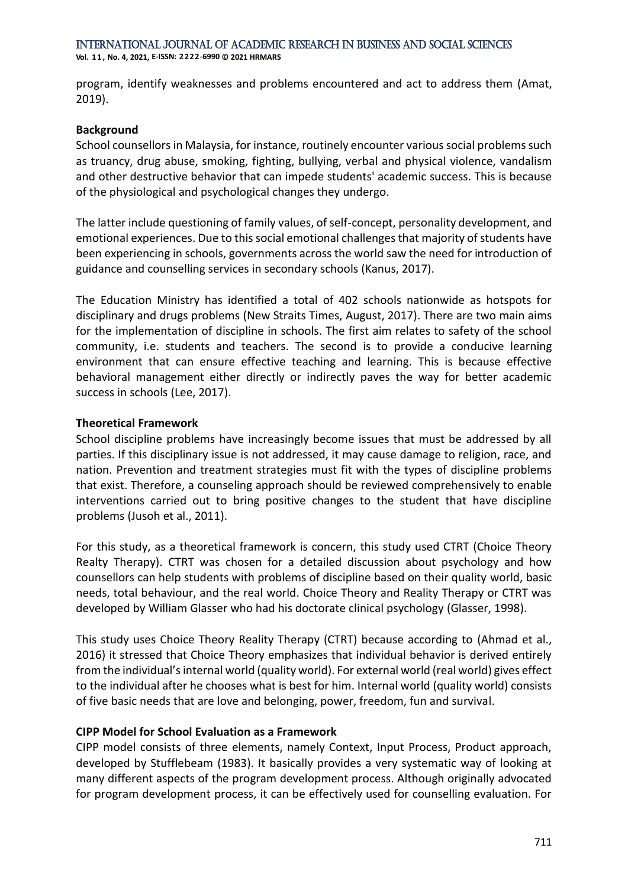program, identify weaknesses and problems encountered and act to address them (Amat, 2019).

#### **Background**

School counsellors in Malaysia, for instance, routinely encounter various social problems such as truancy, drug abuse, smoking, fighting, bullying, verbal and physical violence, vandalism and other destructive behavior that can impede students' academic success. This is because of the physiological and psychological changes they undergo.

The latter include questioning of family values, of self-concept, personality development, and emotional experiences. Due to this social emotional challenges that majority of students have been experiencing in schools, governments across the world saw the need for introduction of guidance and counselling services in secondary schools (Kanus, 2017).

The Education Ministry has identified a total of 402 schools nationwide as hotspots for disciplinary and drugs problems (New Straits Times, August, 2017). There are two main aims for the implementation of discipline in schools. The first aim relates to safety of the school community, i.e. students and teachers. The second is to provide a conducive learning environment that can ensure effective teaching and learning. This is because effective behavioral management either directly or indirectly paves the way for better academic success in schools (Lee, 2017).

#### **Theoretical Framework**

School discipline problems have increasingly become issues that must be addressed by all parties. If this disciplinary issue is not addressed, it may cause damage to religion, race, and nation. Prevention and treatment strategies must fit with the types of discipline problems that exist. Therefore, a counseling approach should be reviewed comprehensively to enable interventions carried out to bring positive changes to the student that have discipline problems (Jusoh et al., 2011).

For this study, as a theoretical framework is concern, this study used CTRT (Choice Theory Realty Therapy). CTRT was chosen for a detailed discussion about psychology and how counsellors can help students with problems of discipline based on their quality world, basic needs, total behaviour, and the real world. Choice Theory and Reality Therapy or CTRT was developed by William Glasser who had his doctorate clinical psychology (Glasser, 1998).

This study uses Choice Theory Reality Therapy (CTRT) because according to (Ahmad et al., 2016) it stressed that Choice Theory emphasizes that individual behavior is derived entirely from the individual's internal world (quality world). For external world (real world) gives effect to the individual after he chooses what is best for him. Internal world (quality world) consists of five basic needs that are love and belonging, power, freedom, fun and survival.

#### **CIPP Model for School Evaluation as a Framework**

CIPP model consists of three elements, namely Context, Input Process, Product approach, developed by Stufflebeam (1983). It basically provides a very systematic way of looking at many different aspects of the program development process. Although originally advocated for program development process, it can be effectively used for counselling evaluation. For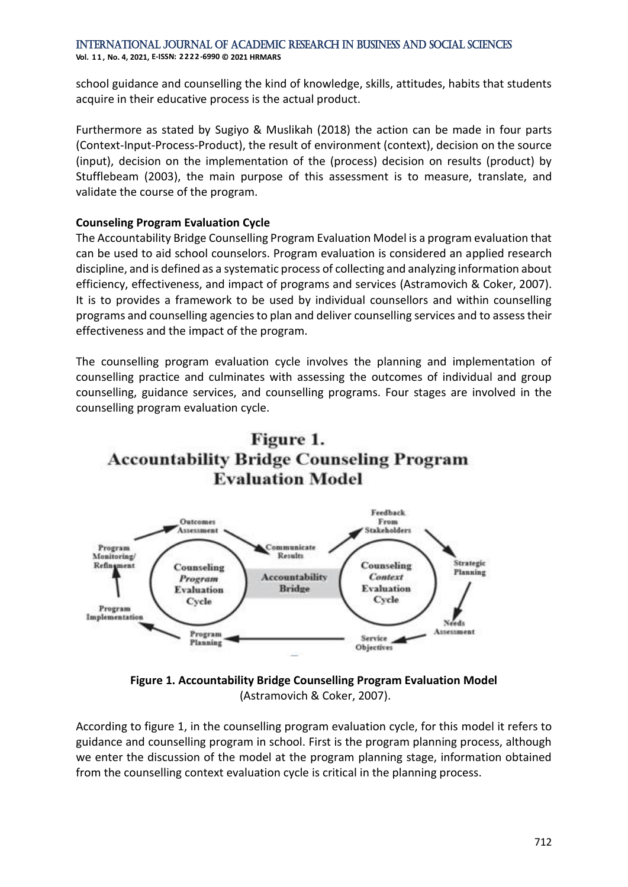International Journal of Academic Research in Business and Social Sciences **Vol. 1 1 , No. 4, 2021, E-ISSN: 2222-6990 © 2021 HRMARS**

school guidance and counselling the kind of knowledge, skills, attitudes, habits that students acquire in their educative process is the actual product.

Furthermore as stated by Sugiyo & Muslikah (2018) the action can be made in four parts (Context-Input-Process-Product), the result of environment (context), decision on the source (input), decision on the implementation of the (process) decision on results (product) by Stufflebeam (2003), the main purpose of this assessment is to measure, translate, and validate the course of the program.

#### **Counseling Program Evaluation Cycle**

The Accountability Bridge Counselling Program Evaluation Model is a program evaluation that can be used to aid school counselors. Program evaluation is considered an applied research discipline, and is defined as a systematic process of collecting and analyzing information about efficiency, effectiveness, and impact of programs and services (Astramovich & Coker, 2007). It is to provides a framework to be used by individual counsellors and within counselling programs and counselling agencies to plan and deliver counselling services and to assess their effectiveness and the impact of the program.

The counselling program evaluation cycle involves the planning and implementation of counselling practice and culminates with assessing the outcomes of individual and group counselling, guidance services, and counselling programs. Four stages are involved in the counselling program evaluation cycle.



**Figure 1. Accountability Bridge Counselling Program Evaluation Model** (Astramovich & Coker, 2007).

According to figure 1, in the counselling program evaluation cycle, for this model it refers to guidance and counselling program in school. First is the program planning process, although we enter the discussion of the model at the program planning stage, information obtained from the counselling context evaluation cycle is critical in the planning process.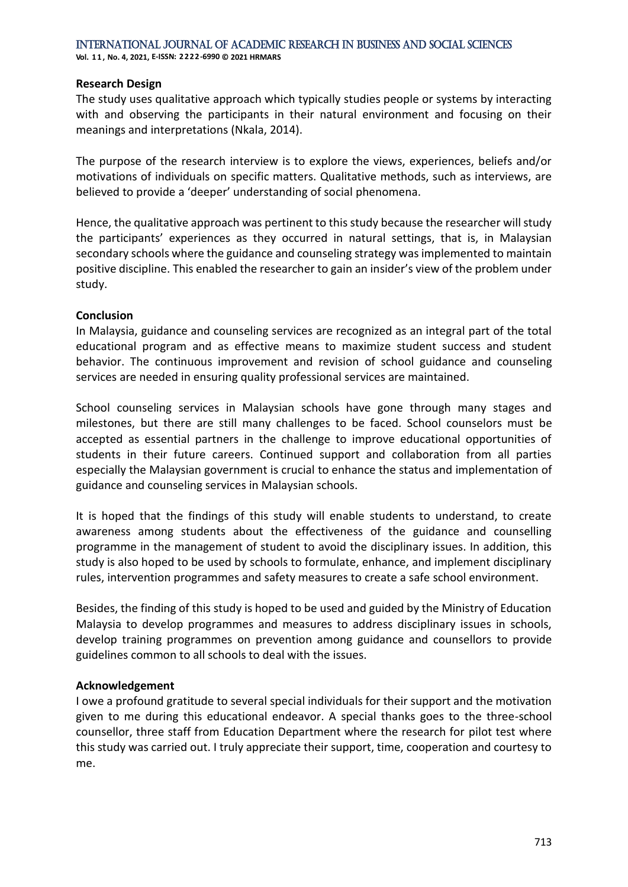**Vol. 1 1 , No. 4, 2021, E-ISSN: 2222-6990 © 2021 HRMARS**

#### **Research Design**

The study uses qualitative approach which typically studies people or systems by interacting with and observing the participants in their natural environment and focusing on their meanings and interpretations (Nkala, 2014).

The purpose of the research interview is to explore the views, experiences, beliefs and/or motivations of individuals on specific matters. Qualitative methods, such as interviews, are believed to provide a 'deeper' understanding of social phenomena.

Hence, the qualitative approach was pertinent to this study because the researcher will study the participants' experiences as they occurred in natural settings, that is, in Malaysian secondary schools where the guidance and counseling strategy was implemented to maintain positive discipline. This enabled the researcher to gain an insider's view of the problem under study.

#### **Conclusion**

In Malaysia, guidance and counseling services are recognized as an integral part of the total educational program and as effective means to maximize student success and student behavior. The continuous improvement and revision of school guidance and counseling services are needed in ensuring quality professional services are maintained.

School counseling services in Malaysian schools have gone through many stages and milestones, but there are still many challenges to be faced. School counselors must be accepted as essential partners in the challenge to improve educational opportunities of students in their future careers. Continued support and collaboration from all parties especially the Malaysian government is crucial to enhance the status and implementation of guidance and counseling services in Malaysian schools.

It is hoped that the findings of this study will enable students to understand, to create awareness among students about the effectiveness of the guidance and counselling programme in the management of student to avoid the disciplinary issues. In addition, this study is also hoped to be used by schools to formulate, enhance, and implement disciplinary rules, intervention programmes and safety measures to create a safe school environment.

Besides, the finding of this study is hoped to be used and guided by the Ministry of Education Malaysia to develop programmes and measures to address disciplinary issues in schools, develop training programmes on prevention among guidance and counsellors to provide guidelines common to all schools to deal with the issues.

#### **Acknowledgement**

I owe a profound gratitude to several special individuals for their support and the motivation given to me during this educational endeavor. A special thanks goes to the three-school counsellor, three staff from Education Department where the research for pilot test where this study was carried out. I truly appreciate their support, time, cooperation and courtesy to me.